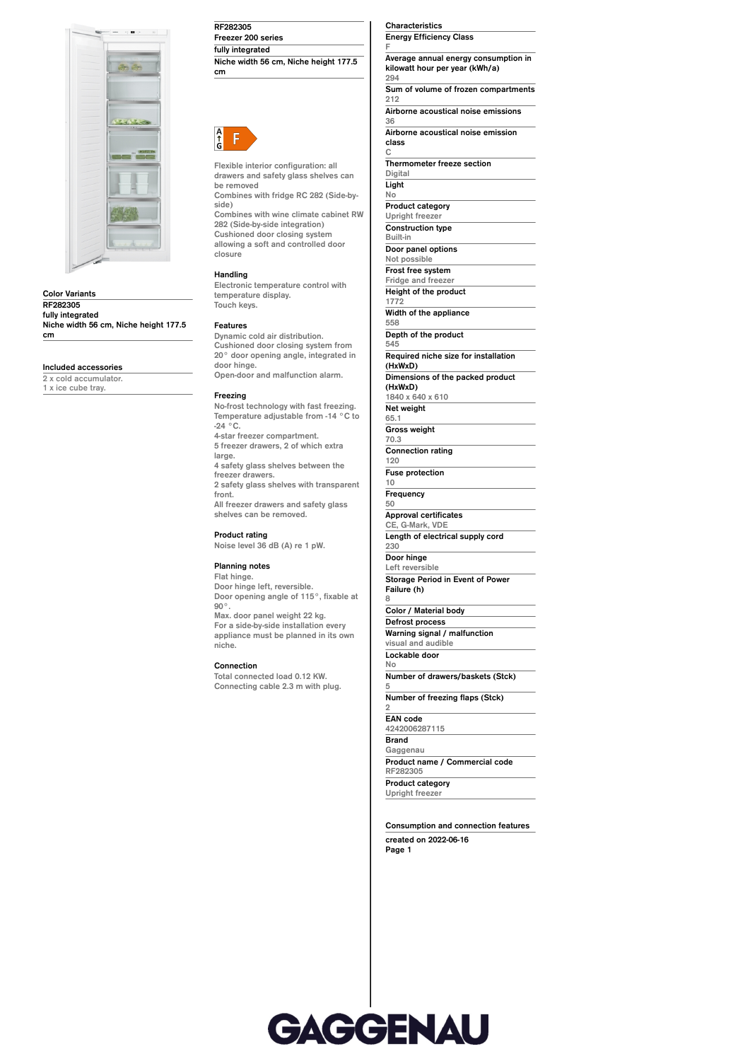

**Color Variants RF282305 fully integrated Niche width 56 cm, Niche height 177.5 cm**

# **Included accessories**

**2 x cold accumulator. 1 x ice cube tray.**

# **RF282305**

**Freezer 200 series fully integrated Niche width 56 cm, Niche height 177.5 cm**



**Flexible interior configuration: all drawers and safety glass shelves can be removed**

**Combines with fridge RC 282 (Side-byside) Combines with wine climate cabinet RW 282 (Side-by-side integration)**

**Cushioned door closing system allowing a soft and controlled door closure**

### **Handling**

**Electronic temperature control with temperature display. Touch keys.**

### **Features**

**Dynamic cold air distribution. Cushioned door closing system from 20° door opening angle, integrated in door hinge. Open-door and malfunction alarm.**

### **Freezing**

**No-frost technology with fast freezing. Temperature adjustable from -14 °C to -24 °C. 4-star freezer compartment. 5 freezer drawers, 2 of which extra large. 4 safety glass shelves between the freezer drawers. 2 safety glass shelves with transparent front. All freezer drawers and safety glass shelves can be removed.**

**Product rating Noise level 36 dB (A) re 1 pW.**

#### **Planning notes**

**Flat hinge. Door hinge left, reversible. Door opening angle of 115°, fixable at 90°. Max. door panel weight 22 kg. For a side-by-side installation every appliance must be planned in its own niche.**

#### **Connection**

**Total connected load 0.12 KW. Connecting cable 2.3 m with plug.** **Characteristics Energy Efficiency Class**

**Average annual energy consumption in kilowatt hour per year (kWh/a) 294 Sum of volume of frozen compartments 212 Airborne acoustical noise emissions 36 Airborne acoustical noise emission**

**class**

**C Thermometer freeze section Digital**

#### **Light**

**F**

**No Product category Upright freezer Construction type Built-in Door panel options Not possible Frost free system Fridge and freezer Height of the product 1772 Width of the appliance 558 Depth of the product 545 Required niche size for installation (HxWxD) Dimensions of the packed product (HxWxD) 1840 x 640 x 610 Net weight 65.1 Gross weight 70.3 Connection rating 120 Fuse protection 10 Frequency 50 Approval certificates CE, G-Mark, VDE Length of electrical supply cord 230 Door hinge Left reversible Storage Period in Event of Power Failure (h) 8 Color / Material body Defrost process**

**Warning signal / malfunction visual and audible Lockable door**

**No Number of drawers/baskets (Stck) 5**

**Number of freezing flaps (Stck)**

#### **EAN code**

**2**

**4242006287115 Brand Gaggenau Product name / Commercial code RF282305 Product category Upright freezer**

## **Consumption and connection features**

**created on 2022-06-16 Page 1**